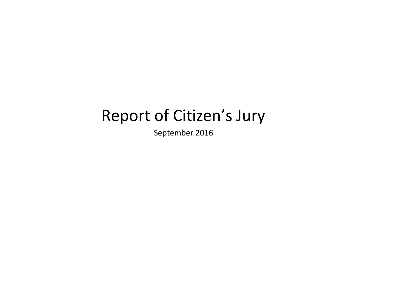# Report of Citizen's Jury

September 2016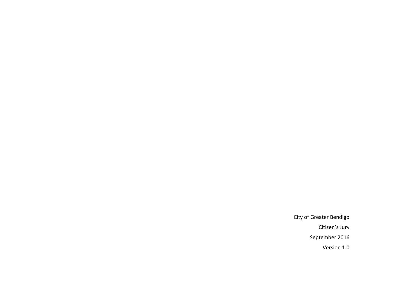City of Greater Bendigo Citizen's Jury September 2016 Version 1.0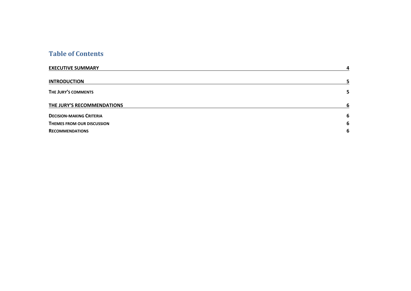# **Table of Contents**

| <b>EXECUTIVE SUMMARY</b>        | 4  |
|---------------------------------|----|
| <b>INTRODUCTION</b>             |    |
| THE JURY'S COMMENTS             | 5. |
| THE JURY'S RECOMMENDATIONS      | 6  |
| <b>DECISION-MAKING CRITERIA</b> | 6  |
| THEMES FROM OUR DISCUSSION      | 6  |
| <b>RECOMMENDATIONS</b>          | 6  |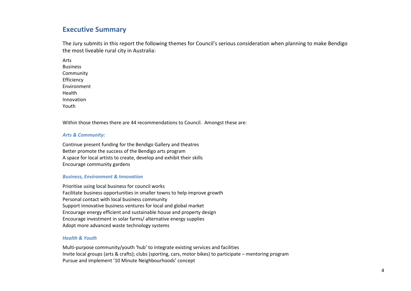# **Executive Summary**

The Jury submits in this report the following themes for Council's serious consideration when planning to make Bendigo the most liveable rural city in Australia:

Arts Business Community Efficiency Environment Health Innovation Youth

Within those themes there are 44 recommendations to Council. Amongst these are:

## *Arts & Community:*

Continue present funding for the Bendigo Gallery and theatres Better promote the success of the Bendigo arts program A space for local artists to create, develop and exhibit their skills Encourage community gardens

## *Business, Environment & Innovation*

Prioritise using local business for council works Facilitate business opportunities in smaller towns to help improve growth Personal contact with local business community Support innovative business ventures for local and global market Encourage energy efficient and sustainable house and property design Encourage investment in solar farms/ alternative energy supplies Adopt more advanced waste technology systems

## *Health & Youth*

Multi-purpose community/youth 'hub' to integrate existing services and facilities Invite local groups (arts & crafts); clubs (sporting, cars, motor bikes) to participate – mentoring program Pursue and implement '10 Minute Neighbourhoods' concept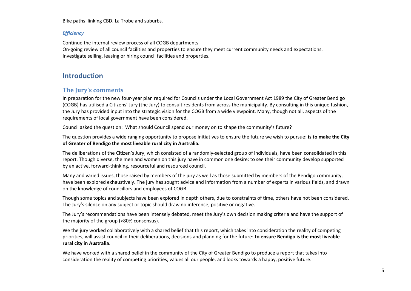Bike paths linking CBD, La Trobe and suburbs.

## *Efficiency*

Continue the internal review process of all COGB departments On-going review of all council facilities and properties to ensure they meet current community needs and expectations. Investigate selling, leasing or hiring council facilities and properties.

# **Introduction**

## **The Jury's comments**

In preparation for the new four-year plan required for Councils under the Local Government Act 1989 the City of Greater Bendigo (COGB) has utilised a Citizens' Jury (the Jury) to consult residents from across the municipality. By consulting in this unique fashion, the Jury has provided input into the strategic vision for the COGB from a wide viewpoint. Many, though not all, aspects of the requirements of local government have been considered.

Council asked the question: What should Council spend our money on to shape the community's future?

The question provides a wide ranging opportunity to propose initiatives to ensure the future we wish to pursue: **is to make the City of Greater of Bendigo the most liveable rural city in Australia.**

The deliberations of the Citizen's Jury, which consisted of a randomly-selected group of individuals, have been consolidated in this report. Though diverse, the men and women on this jury have in common one desire: to see their community develop supported by an active, forward-thinking, resourceful and resourced council.

Many and varied issues, those raised by members of the jury as well as those submitted by members of the Bendigo community, have been explored exhaustively. The jury has sought advice and information from a number of experts in various fields, and drawn on the knowledge of councillors and employees of COGB.

Though some topics and subjects have been explored in depth others, due to constraints of time, others have not been considered. The Jury's silence on any subject or topic should draw no inference, positive or negative.

The Jury's recommendations have been intensely debated, meet the Jury's own decision making criteria and have the support of the majority of the group (>80% consensus).

We the jury worked collaboratively with a shared belief that this report, which takes into consideration the reality of competing priorities, will assist council in their deliberations, decisions and planning for the future: **to ensure Bendigo is the most liveable rural city in Australia**.

We have worked with a shared belief in the community of the City of Greater Bendigo to produce a report that takes into consideration the reality of competing priorities, values all our people, and looks towards a happy, positive future.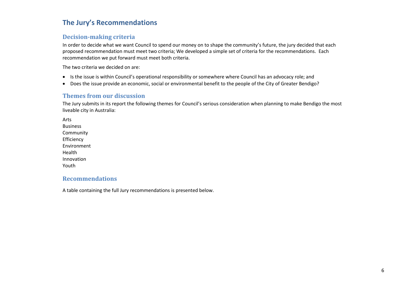# **The Jury's Recommendations**

# **Decision-making criteria**

In order to decide what we want Council to spend our money on to shape the community's future, the jury decided that each proposed recommendation must meet two criteria; We developed a simple set of criteria for the recommendations. Each recommendation we put forward must meet both criteria.

The two criteria we decided on are:

- Is the issue is within Council's operational responsibility or somewhere where Council has an advocacy role; and
- Does the issue provide an economic, social or environmental benefit to the people of the City of Greater Bendigo?

## **Themes from our discussion**

The Jury submits in its report the following themes for Council's serious consideration when planning to make Bendigo the most liveable city in Australia:

Arts Business Community Efficiency Environment Health Innovation Youth

# **Recommendations**

A table containing the full Jury recommendations is presented below.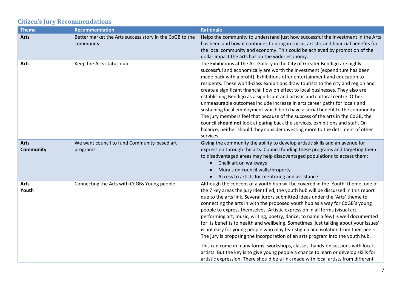# **Citizen's Jury Recommendations**

| <b>Theme</b>                    | <b>Recommendation</b>                                                | <b>Rationale</b>                                                                                                                                                                                                                                                                                                                                                                                                                                                                                                                                                                                                                                                                                                                                                                                                                                                                                                                                                                                                                          |
|---------------------------------|----------------------------------------------------------------------|-------------------------------------------------------------------------------------------------------------------------------------------------------------------------------------------------------------------------------------------------------------------------------------------------------------------------------------------------------------------------------------------------------------------------------------------------------------------------------------------------------------------------------------------------------------------------------------------------------------------------------------------------------------------------------------------------------------------------------------------------------------------------------------------------------------------------------------------------------------------------------------------------------------------------------------------------------------------------------------------------------------------------------------------|
| <b>Arts</b>                     | Better market the Arts success story in the CoGB to the<br>community | Helps the community to understand just how successful the investment in the Arts<br>has been and how it continues to bring in social, artistic and financial benefits for<br>the local community and economy. This could be achieved by promotion of the<br>dollar impact the arts has on the wider economy.                                                                                                                                                                                                                                                                                                                                                                                                                                                                                                                                                                                                                                                                                                                              |
| <b>Arts</b>                     | Keep the Arts status quo                                             | The Exhibitions at the Art Gallery in the City of Greater Bendigo are highly<br>successful and economically are worth the investment (expenditure has been<br>made back with a profit). Exhibitions offer entertainment and education to<br>residents. These world-class exhibitions draw tourists to the city and region and<br>create a significant financial flow on effect to local businesses. They also are<br>establishing Bendigo as a significant and artistic and cultural centre. Other<br>unmeasurable outcomes include increase in arts career paths for locals and<br>sustaining local employment which both have a social benefit to the community.<br>The jury members feel that because of the success of the arts in the CoGB, the<br>council should not look at paring back the services, exhibitions and staff. On<br>balance, neither should they consider investing more to the detriment of other<br>services.                                                                                                     |
| <b>Arts</b><br><b>Community</b> | We want council to fund Community-based art<br>programs              | Giving the community the ability to develop artistic skills and an avenue for<br>expression through the arts. Council funding these programs and targeting them<br>to disadvantaged areas may help disadvantaged populations to access them:<br>Chalk art on walkways<br>$\bullet$<br>Murals on council walls/property<br>$\bullet$<br>Access to artists for mentoring and assistance<br>$\bullet$                                                                                                                                                                                                                                                                                                                                                                                                                                                                                                                                                                                                                                        |
| <b>Arts</b><br>Youth            | Connecting the Arts with CoGBs Young people                          | Although the concept of a youth hub will be covered in the 'Youth' theme, one of<br>the 7 key areas the jury identified, the youth hub will be discussed in this report<br>due to the arts link. Several jurors submitted ideas under the 'Arts' theme to<br>connecting the arts in with the proposed youth hub as a way for CoGB's young<br>people to express themselves. Artistic expression in all forms (visual art,<br>performing art, music, writing, poetry, dance, to name a few) is well documented<br>for its benefits to health and wellbeing. Sometimes 'just talking about your issues'<br>is not easy for young people who may fear stigma and isolation from their peers.<br>The jury is proposing the incorporation of an arts program into the youth hub.<br>This can come in many forms- workshops, classes, hands-on sessions with local<br>artists. But the key is to give young people a chance to learn or develop skills for<br>artistic expression. There should be a link made with local artists from different |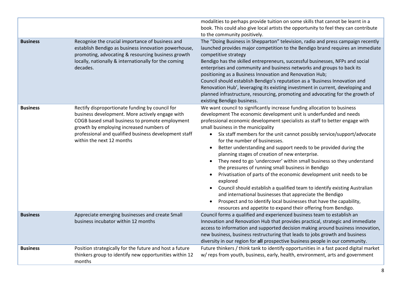|                 |                                                                                                                                                                                                                                                                                         | modalities to perhaps provide tuition on some skills that cannot be learnt in a                                                                                                                                                                                                                                                                                                                                                                                                                                                                                                                                                                                                                                                                                                                                                                                                                                                                                                                                                       |
|-----------------|-----------------------------------------------------------------------------------------------------------------------------------------------------------------------------------------------------------------------------------------------------------------------------------------|---------------------------------------------------------------------------------------------------------------------------------------------------------------------------------------------------------------------------------------------------------------------------------------------------------------------------------------------------------------------------------------------------------------------------------------------------------------------------------------------------------------------------------------------------------------------------------------------------------------------------------------------------------------------------------------------------------------------------------------------------------------------------------------------------------------------------------------------------------------------------------------------------------------------------------------------------------------------------------------------------------------------------------------|
|                 |                                                                                                                                                                                                                                                                                         | book. This could also give local artists the opportunity to feel they can contribute<br>to the community positively.                                                                                                                                                                                                                                                                                                                                                                                                                                                                                                                                                                                                                                                                                                                                                                                                                                                                                                                  |
| <b>Business</b> | Recognise the crucial importance of business and<br>establish Bendigo as business innovation powerhouse,<br>promoting, advocating & resourcing business growth<br>locally, nationally & internationally for the coming<br>decades.                                                      | The "Doing Business in Shepparton" television, radio and press campaign recently<br>launched provides major competition to the Bendigo brand requires an immediate<br>competitive strategy<br>Bendigo has the skilled entrepreneurs, successful businesses, NFPs and social<br>enterprises and community and business networks and groups to back its<br>positioning as a Business Innovation and Renovation Hub;<br>Council should establish Bendigo's reputation as a 'Business Innovation and<br>Renovation Hub', leveraging its existing investment in current, developing and<br>planned infrastructure, resourcing, promoting and advocating for the growth of<br>existing Bendigo business.                                                                                                                                                                                                                                                                                                                                    |
| <b>Business</b> | Rectify disproportionate funding by council for<br>business development. More actively engage with<br>COGB based small business to promote employment<br>growth by employing increased numbers of<br>professional and qualified business development staff<br>within the next 12 months | We want council to significantly increase funding allocation to business<br>development The economic development unit is underfunded and needs<br>professional economic development specialists as staff to better engage with<br>small business in the municipality<br>• Six staff members for the unit cannot possibly service/support/advocate<br>for the number of businesses.<br>Better understanding and support needs to be provided during the<br>planning stages of creation of new enterprise.<br>They need to go 'undercover' within small business so they understand<br>the pressures of running small business in Bendigo<br>Privatisation of parts of the economic development unit needs to be<br>$\bullet$<br>explored<br>Council should establish a qualified team to identify existing Australian<br>$\bullet$<br>and international businesses that appreciate the Bendigo<br>Prospect and to identify local businesses that have the capability,<br>resources and appetite to expand their offering from Bendigo. |
| <b>Business</b> | Appreciate emerging businesses and create Small<br>business incubator within 12 months                                                                                                                                                                                                  | Council forms a qualified and experienced business team to establish an<br>Innovation and Renovation Hub that provides practical, strategic and immediate<br>access to information and supported decision making around business innovation,<br>new business, business restructuring that leads to jobs growth and business<br>diversity in our region for all prospective business people in our community.                                                                                                                                                                                                                                                                                                                                                                                                                                                                                                                                                                                                                          |
| <b>Business</b> | Position strategically for the future and host a future<br>thinkers group to identify new opportunities within 12<br>months                                                                                                                                                             | Future thinkers / think tank to identify opportunities in a fast paced digital market<br>w/reps from youth, business, early, health, environment, arts and government                                                                                                                                                                                                                                                                                                                                                                                                                                                                                                                                                                                                                                                                                                                                                                                                                                                                 |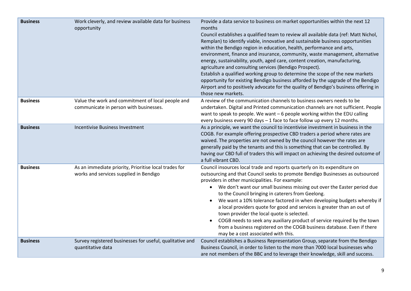| <b>Business</b> | Work cleverly, and review available data for business<br>opportunity                            | Provide a data service to business on market opportunities within the next 12<br>months<br>Council establishes a qualified team to review all available data (ref: Matt Nichol,<br>Remplan) to identify viable, innovative and sustainable business opportunities<br>within the Bendigo region in education, health, performance and arts,<br>environment, finance and insurance, community, waste management, alternative<br>energy, sustainability, youth, aged care, content creation, manufacturing,<br>agriculture and consulting services (Bendigo Prospect).<br>Establish a qualified working group to determine the scope of the new markets<br>opportunity for existing Bendigo business afforded by the upgrade of the Bendigo<br>Airport and to positively advocate for the quality of Bendigo's business offering in<br>those new markets. |
|-----------------|-------------------------------------------------------------------------------------------------|--------------------------------------------------------------------------------------------------------------------------------------------------------------------------------------------------------------------------------------------------------------------------------------------------------------------------------------------------------------------------------------------------------------------------------------------------------------------------------------------------------------------------------------------------------------------------------------------------------------------------------------------------------------------------------------------------------------------------------------------------------------------------------------------------------------------------------------------------------|
| <b>Business</b> | Value the work and commitment of local people and<br>communicate in person with businesses.     | A review of the communication channels to business owners needs to be<br>undertaken. Digital and Printed communication channels are not sufficient. People<br>want to speak to people. We want - 6 people working within the EDU calling<br>every business every 90 days - 1 face to face follow up every 12 months.                                                                                                                                                                                                                                                                                                                                                                                                                                                                                                                                   |
| <b>Business</b> | <b>Incentivise Business Investment</b>                                                          | As a principle, we want the council to incentivise investment in business in the<br>COGB. For example offering prospective CBD traders a period where rates are<br>waived. The properties are not owned by the council however the rates are<br>generally paid by the tenants and this is something that can be controlled. By<br>having our CBD full of traders this will impact on achieving the desired outcome of<br>a full vibrant CBD.                                                                                                                                                                                                                                                                                                                                                                                                           |
| <b>Business</b> | As an immediate priority, Prioritise local trades for<br>works and services supplied in Bendigo | Council insources local trade and reports quarterly on its expenditure on<br>outsourcing and that Council seeks to promote Bendigo Businesses as outsourced<br>providers in other municipalities. For example:<br>• We don't want our small business missing out over the Easter period due<br>to the Council bringing in caterers from Geelong.<br>We want a 10% tolerance factored in when developing budgets whereby if<br>a local providers quote for good and services is greater than an out of<br>town provider the local quote is selected.<br>COGB needs to seek any auxiliary product of service required by the town<br>$\bullet$<br>from a business registered on the COGB business database. Even if there<br>may be a cost associated with this.                                                                                         |
| <b>Business</b> | Survey registered businesses for useful, qualitative and<br>quantitative data                   | Council establishes a Business Representation Group, separate from the Bendigo<br>Business Council, in order to listen to the more than 7000 local businesses who<br>are not members of the BBC and to leverage their knowledge, skill and success.                                                                                                                                                                                                                                                                                                                                                                                                                                                                                                                                                                                                    |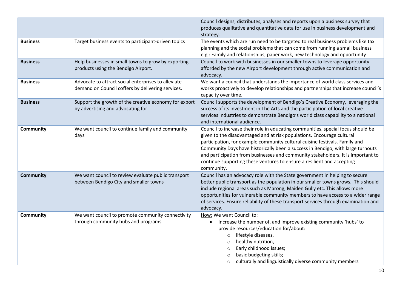|                  |                                                                                                          | Council designs, distributes, analyses and reports upon a business survey that<br>produces qualitative and quantitative data for use in business development and<br>strategy.                                                                                                                                                                                                                                                                                                                            |
|------------------|----------------------------------------------------------------------------------------------------------|----------------------------------------------------------------------------------------------------------------------------------------------------------------------------------------------------------------------------------------------------------------------------------------------------------------------------------------------------------------------------------------------------------------------------------------------------------------------------------------------------------|
| <b>Business</b>  | Target business events to participant-driven topics                                                      | The events which are run need to be targeted to real business problems like tax<br>planning and the social problems that can come from running a small business<br>e.g.: Family and relationships, paper work, new technology and opportunity                                                                                                                                                                                                                                                            |
| <b>Business</b>  | Help businesses in small towns to grow by exporting<br>products using the Bendigo Airport.               | Council to work with businesses in our smaller towns to leverage opportunity<br>afforded by the new Airport development through active communication and<br>advocacy.                                                                                                                                                                                                                                                                                                                                    |
| <b>Business</b>  | Advocate to attract social enterprises to alleviate<br>demand on Council coffers by delivering services. | We want a council that understands the importance of world class services and<br>works proactively to develop relationships and partnerships that increase council's<br>capacity over time.                                                                                                                                                                                                                                                                                                              |
| <b>Business</b>  | Support the growth of the creative economy for export<br>by advertising and advocating for               | Council supports the development of Bendigo's Creative Economy, leveraging the<br>success of its investment in The Arts and the participation of local creative<br>services industries to demonstrate Bendigo's world class capability to a national<br>and international audience.                                                                                                                                                                                                                      |
| <b>Community</b> | We want council to continue family and community<br>days                                                 | Council to increase their role in educating communities, special focus should be<br>given to the disadvantaged and at risk populations. Encourage cultural<br>participation, for example community cultural cuisine festivals. Family and<br>Community Days have historically been a success in Bendigo, with large turnouts<br>and participation from businesses and community stakeholders. It is important to<br>continue supporting these ventures to ensure a resilient and accepting<br>community. |
| <b>Community</b> | We want council to review evaluate public transport<br>between Bendigo City and smaller towns            | Council has an advocacy role with the State government in helping to secure<br>better public transport as the population in our smaller towns grows. This should<br>include regional areas such as Marong, Maiden Gully etc. This allows more<br>opportunities for vulnerable community members to have access to a wider range<br>of services. Ensure reliability of these transport services through examination and<br>advocacy.                                                                      |
| Community        | We want council to promote community connectivity<br>through community hubs and programs                 | How: We want Council to:<br>Increase the number of, and improve existing community 'hubs' to<br>provide resources/education for/about:<br>lifestyle diseases,<br>$\circ$<br>healthy nutrition,<br>$\circ$<br>Early childhood issues;<br>$\circ$<br>basic budgeting skills;<br>culturally and linguistically diverse community members<br>$\circ$                                                                                                                                                         |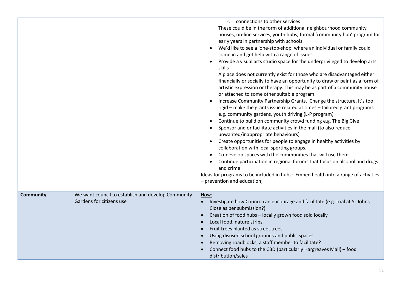|                  |                                                                                | o connections to other services<br>These could be in the form of additional neighbourhood community<br>houses, on-line services, youth hubs, formal 'community hub' program for<br>early years in partnership with schools.<br>We'd like to see a 'one-stop-shop' where an individual or family could<br>$\bullet$<br>come in and get help with a range of issues.<br>Provide a visual arts studio space for the underprivileged to develop arts<br>$\bullet$<br>skills<br>A place does not currently exist for those who are disadvantaged either<br>financially or socially to have an opportunity to draw or paint as a form of<br>artistic expression or therapy. This may be as part of a community house<br>or attached to some other suitable program.<br>Increase Community Partnership Grants. Change the structure, it's too<br>rigid - make the grants issue related at times - tailored grant programs<br>e.g. community gardens, youth driving (L-P program)<br>Continue to build on community crowd funding e.g. The Big Give<br>Sponsor and or facilitate activities in the mall (to also reduce<br>unwanted/inappropriate behaviours)<br>Create opportunities for people to engage in healthy activities by<br>$\bullet$<br>collaboration with local sporting groups.<br>Co-develop spaces with the communities that will use them,<br>$\bullet$<br>Continue participation in regional forums that focus on alcohol and drugs<br>and crime<br>Ideas for programs to be included in hubs: Embed health into a range of activities<br>- prevention and education; |
|------------------|--------------------------------------------------------------------------------|---------------------------------------------------------------------------------------------------------------------------------------------------------------------------------------------------------------------------------------------------------------------------------------------------------------------------------------------------------------------------------------------------------------------------------------------------------------------------------------------------------------------------------------------------------------------------------------------------------------------------------------------------------------------------------------------------------------------------------------------------------------------------------------------------------------------------------------------------------------------------------------------------------------------------------------------------------------------------------------------------------------------------------------------------------------------------------------------------------------------------------------------------------------------------------------------------------------------------------------------------------------------------------------------------------------------------------------------------------------------------------------------------------------------------------------------------------------------------------------------------------------------------------------------------------------------------------|
| <b>Community</b> | We want council to establish and develop Community<br>Gardens for citizens use | How:<br>Investigate how Council can encourage and facilitate (e.g. trial at St Johns<br>Close as per submission?)<br>Creation of food hubs - locally grown food sold locally<br>Local food, nature strips.<br>Fruit trees planted as street trees.<br>Using disused school grounds and public spaces<br>Removing roadblocks; a staff member to facilitate?<br>Connect food hubs to the CBD (particularly Hargreaves Mall) - food<br>distribution/sales                                                                                                                                                                                                                                                                                                                                                                                                                                                                                                                                                                                                                                                                                                                                                                                                                                                                                                                                                                                                                                                                                                                          |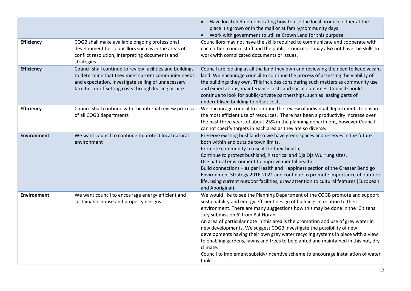|                    |                                                                                                                                                                                                                                    | Have local chef demonstrating how to use the local produce either at the<br>$\bullet$<br>place it's grown or in the mall or at family/community days<br>Work with government to utilise Crown Land for this purpose<br>$\bullet$                                                                                                                                                                                                                                                                                                                                                                                                                                                                                                    |
|--------------------|------------------------------------------------------------------------------------------------------------------------------------------------------------------------------------------------------------------------------------|-------------------------------------------------------------------------------------------------------------------------------------------------------------------------------------------------------------------------------------------------------------------------------------------------------------------------------------------------------------------------------------------------------------------------------------------------------------------------------------------------------------------------------------------------------------------------------------------------------------------------------------------------------------------------------------------------------------------------------------|
| <b>Efficiency</b>  | COGB shall make available ongoing professional<br>development for councillors such as in the areas of<br>conflict resolution, interpreting documents and<br>strategies.                                                            | Councillors may not have the skills required to communicate and cooperate with<br>each other, council staff and the public. Councillors may also not have the skills to<br>work with complicated documents or issues.                                                                                                                                                                                                                                                                                                                                                                                                                                                                                                               |
| <b>Efficiency</b>  | Council shall continue to review facilities and buildings<br>to determine that they meet current community needs<br>and expectation. Investigate selling of unnecessary<br>facilities or offsetting costs through leasing or hire. | Council are looking at all the land they own and reviewing the need to keep vacant<br>land. We encourage council to continue the process of assessing the viability of<br>the buildings they own. This includes considering such matters as community use<br>and expectations, maintenance costs and social outcomes. Council should<br>continue to look for public/private partnerships, such as leasing parts of<br>underutilised building to offset costs.                                                                                                                                                                                                                                                                       |
| <b>Efficiency</b>  | Council shall continue with the internal review process<br>of all COGB departments                                                                                                                                                 | We encourage council to continue the review of individual departments to ensure<br>the most efficient use of resources. There has been a productivity increase over<br>the past three years of about 25% in the planning department, however Council<br>cannot specify targets in each area as they are so diverse.                                                                                                                                                                                                                                                                                                                                                                                                                 |
| <b>Environment</b> | We want council to continue to protect local natural<br>environment                                                                                                                                                                | Preserve existing bushland so we have green spaces and reserves in the future<br>both within and outside town limits,<br>Promote community to use it for their health;<br>Continue to protect bushland, historical and Dja Dja Wurrung sites.<br>Use natural environment to improve mental health.<br>Build connections - as per Health and Happiness section of the Greater Bendigo<br>Environment Strategy 2016-2021 and continue to promote importance of outdoor<br>life, using current outdoor facilities, draw attention to cultural features (European<br>and Aboriginal),                                                                                                                                                   |
| <b>Environment</b> | We want council to encourage energy efficient and<br>sustainable house and property designs                                                                                                                                        | We would like to see the Planning Department of the COGB promote and support<br>sustainability and energy efficient design of buildings in relation to their<br>environment. There are many suggestions how this may be done in the 'Citizens<br>Jury submission 6' from Pat Horan.<br>An area of particular note in this area is the promotion and use of grey water in<br>new developments. We suggest COGB investigate the possibility of new<br>developments having their own grey water recycling systems in place with a view<br>to enabling gardens, lawns and trees to be planted and maintained in this hot, dry<br>climate.<br>Council to implement subsidy/incentive scheme to encourage installation of water<br>tanks. |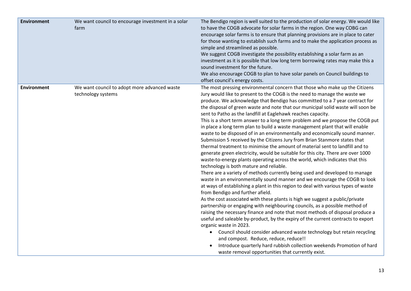| <b>Environment</b> | We want council to encourage investment in a solar<br>farm         | The Bendigo region is well suited to the production of solar energy. We would like<br>to have the COGB advocate for solar farms in the region. One way COBG can<br>encourage solar farms is to ensure that planning provisions are in place to cater<br>for those wanting to establish such farms and to make the application process as<br>simple and streamlined as possible.<br>We suggest COGB investigate the possibility establishing a solar farm as an<br>investment as it is possible that low long term borrowing rates may make this a<br>sound investment for the future.<br>We also encourage COGB to plan to have solar panels on Council buildings to<br>offset council's energy costs.                                                                                                                                                                                                                                                                                                                                                                                                                                                                                                                                                                                                                                                                                                                                                                                                                                                                                                                                                                                                                                                                                                                                                                                                                             |
|--------------------|--------------------------------------------------------------------|------------------------------------------------------------------------------------------------------------------------------------------------------------------------------------------------------------------------------------------------------------------------------------------------------------------------------------------------------------------------------------------------------------------------------------------------------------------------------------------------------------------------------------------------------------------------------------------------------------------------------------------------------------------------------------------------------------------------------------------------------------------------------------------------------------------------------------------------------------------------------------------------------------------------------------------------------------------------------------------------------------------------------------------------------------------------------------------------------------------------------------------------------------------------------------------------------------------------------------------------------------------------------------------------------------------------------------------------------------------------------------------------------------------------------------------------------------------------------------------------------------------------------------------------------------------------------------------------------------------------------------------------------------------------------------------------------------------------------------------------------------------------------------------------------------------------------------------------------------------------------------------------------------------------------------|
| <b>Environment</b> | We want council to adopt more advanced waste<br>technology systems | The most pressing environmental concern that those who make up the Citizens<br>Jury would like to present to the COGB is the need to manage the waste we<br>produce. We acknowledge that Bendigo has committed to a 7 year contract for<br>the disposal of green waste and note that our municipal solid waste will soon be<br>sent to Patho as the landfill at Eaglehawk reaches capacity.<br>This is a short term answer to a long term problem and we propose the COGB put<br>in place a long term plan to build a waste management plant that will enable<br>waste to be disposed of in an environmentally and economically sound manner.<br>Submission 5 received by the Citizens Jury from Brian Stanmore states that<br>thermal treatment to minimise the amount of material sent to landfill and to<br>generate green electricity, would be suitable for this city. There are over 1000<br>waste-to-energy plants operating across the world, which indicates that this<br>technology is both mature and reliable.<br>There are a variety of methods currently being used and developed to manage<br>waste in an environmentally sound manner and we encourage the COGB to look<br>at ways of establishing a plant in this region to deal with various types of waste<br>from Bendigo and further afield.<br>As the cost associated with these plants is high we suggest a public/private<br>partnership or engaging with neighbouring councils, as a possible method of<br>raising the necessary finance and note that most methods of disposal produce a<br>useful and saleable by-product, by the expiry of the current contracts to export<br>organic waste in 2023.<br>Council should consider advanced waste technology but retain recycling<br>and compost. Reduce, reduce, reduce!!<br>Introduce quarterly hard rubbish collection weekends Promotion of hard<br>waste removal opportunities that currently exist. |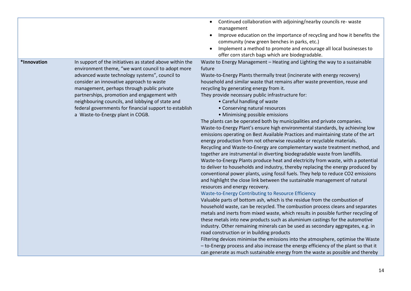|             |                                                                                                                                                                                                                                                                                                                                                                                                                                                            | Continued collaboration with adjoining/nearby councils re- waste<br>$\bullet$<br>management<br>Improve education on the importance of recycling and how it benefits the<br>$\bullet$<br>community (new green benches in parks, etc.)<br>Implement a method to promote and encourage all local businesses to<br>$\bullet$<br>offer corn starch bags which are biodegradable.                                                                                                                                                                                                                                                                                                                                                                                                                                                                                                                                                                                                                                                                                                                                                                                                                                                                                                                                                                                                                                                                                                                                                                                                                                                                                                                                                                                                                                                                                                                                                                                                                                                                                                                                   |
|-------------|------------------------------------------------------------------------------------------------------------------------------------------------------------------------------------------------------------------------------------------------------------------------------------------------------------------------------------------------------------------------------------------------------------------------------------------------------------|---------------------------------------------------------------------------------------------------------------------------------------------------------------------------------------------------------------------------------------------------------------------------------------------------------------------------------------------------------------------------------------------------------------------------------------------------------------------------------------------------------------------------------------------------------------------------------------------------------------------------------------------------------------------------------------------------------------------------------------------------------------------------------------------------------------------------------------------------------------------------------------------------------------------------------------------------------------------------------------------------------------------------------------------------------------------------------------------------------------------------------------------------------------------------------------------------------------------------------------------------------------------------------------------------------------------------------------------------------------------------------------------------------------------------------------------------------------------------------------------------------------------------------------------------------------------------------------------------------------------------------------------------------------------------------------------------------------------------------------------------------------------------------------------------------------------------------------------------------------------------------------------------------------------------------------------------------------------------------------------------------------------------------------------------------------------------------------------------------------|
| *Innovation | In support of the initiatives as stated above within the<br>environment theme, "we want council to adopt more<br>advanced waste technology systems", council to<br>consider an innovative approach to waste<br>management, perhaps through public private<br>partnerships, promotion and engagement with<br>neighbouring councils, and lobbying of state and<br>federal governments for financial support to establish<br>a Waste-to-Energy plant in COGB. | Waste to Energy Management - Heating and Lighting the way to a sustainable<br>future<br>Waste-to-Energy Plants thermally treat (incinerate with energy recovery)<br>household and similar waste that remains after waste prevention, reuse and<br>recycling by generating energy from it.<br>They provide necessary public infrastructure for:<br>• Careful handling of waste<br>• Conserving natural resources<br>• Minimising possible emissions<br>The plants can be operated both by municipalities and private companies.<br>Waste-to-Energy Plant's ensure high environmental standards, by achieving low<br>emissions operating on Best Available Practices and maintaining state of the art<br>energy production from not otherwise reusable or recyclable materials.<br>Recycling and Waste-to-Energy are complementary waste treatment method, and<br>together are instrumental in diverting biodegradable waste from landfills.<br>Waste-to-Energy Plants produce heat and electricity from waste, with a potential<br>to deliver to households and industry, thereby replacing the energy produced by<br>conventional power plants, using fossil fuels. They help to reduce CO2 emissions<br>and highlight the close link between the sustainable management of natural<br>resources and energy recovery.<br>Waste-to-Energy Contributing to Resource Efficiency<br>Valuable parts of bottom ash, which is the residue from the combustion of<br>household waste, can be recycled. The combustion process cleans and separates<br>metals and inerts from mixed waste, which results in possible further recycling of<br>these metals into new products such as aluminium castings for the automotive<br>industry. Other remaining minerals can be used as secondary aggregates, e.g. in<br>road construction or in building products<br>Filtering devices minimise the emissions into the atmosphere, optimise the Waste<br>- to-Energy process and also increase the energy efficiency of the plant so that it<br>can generate as much sustainable energy from the waste as possible and thereby |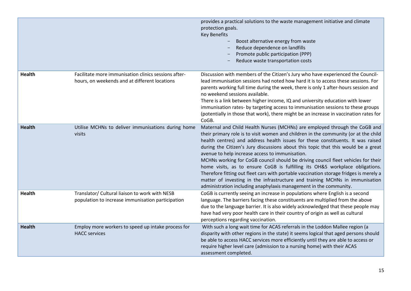|               |                                                                                                       | provides a practical solutions to the waste management initiative and climate<br>protection goals.<br><b>Key Benefits</b><br>Boost alternative energy from waste<br>Reduce dependence on landfills<br>Promote public participation (PPP)<br>Reduce waste transportation costs                                                                                                                                                                                                                                                                                                                                                                                                                                                                                                                                    |
|---------------|-------------------------------------------------------------------------------------------------------|------------------------------------------------------------------------------------------------------------------------------------------------------------------------------------------------------------------------------------------------------------------------------------------------------------------------------------------------------------------------------------------------------------------------------------------------------------------------------------------------------------------------------------------------------------------------------------------------------------------------------------------------------------------------------------------------------------------------------------------------------------------------------------------------------------------|
| <b>Health</b> | Facilitate more immunisation clinics sessions after-<br>hours, on weekends and at different locations | Discussion with members of the Citizen's Jury who have experienced the Council-<br>lead immunisation sessions had noted how hard it is to access these sessions. For<br>parents working full time during the week, there is only 1 after-hours session and<br>no weekend sessions available.<br>There is a link between higher income, IQ and university education with lower<br>immunisation rates- by targeting access to immunisation sessions to these groups<br>(potentially in those that work), there might be an increase in vaccination rates for<br>CoGB.                                                                                                                                                                                                                                              |
| <b>Health</b> | Utilise MCHNs to deliver immunisations during home<br>visits                                          | Maternal and Child Health Nurses (MCHNs) are employed through the CoGB and<br>their primary role is to visit women and children in the community (or at the child<br>health centres) and address health issues for these constituents. It was raised<br>during the Citizen's Jury discussions about this topic that this would be a great<br>avenue to help increase access to immunisation.<br>MCHNs working for CoGB council should be driving council fleet vehicles for their<br>home visits, as to ensure CoGB is fulfilling its OH&S workplace obligations.<br>Therefore fitting out fleet cars with portable vaccination storage fridges is merely a<br>matter of investing in the infrastructure and training MCHNs in immunisation<br>administration including anaphylaxis management in the community. |
| <b>Health</b> | Translator/ Cultural liaison to work with NESB<br>population to increase immunisation participation   | CoGB is currently seeing an increase in populations where English is a second<br>language. The barriers facing these constituents are multiplied from the above<br>due to the language barrier. It is also widely acknowledged that these people may<br>have had very poor health care in their country of origin as well as cultural<br>perceptions regarding vaccination.                                                                                                                                                                                                                                                                                                                                                                                                                                      |
| <b>Health</b> | Employ more workers to speed up intake process for<br><b>HACC</b> services                            | With such a long wait time for ACAS referrals in the Loddon Mallee region (a<br>disparity with other regions in the state) it seems logical that aged persons should<br>be able to access HACC services more efficiently until they are able to access or<br>require higher level care (admission to a nursing home) with their ACAS<br>assessment completed.                                                                                                                                                                                                                                                                                                                                                                                                                                                    |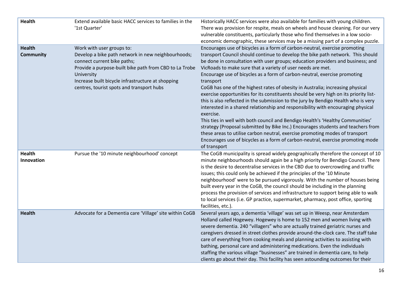| <b>Health</b>                     | Extend available basic HACC services to families in the<br>'1st Quarter'                                                                                                                                                                                                                 | Historically HACC services were also available for families with young children.<br>There was provision for respite, meals on wheels and house cleaning. For our very<br>vulnerable constituents, particularly those who find themselves in a low socio-<br>economic demographic, these services may be a missing part of a complex puzzle.                                                                                                                                                                                                                                                                                                                                                                                                                                                                                                                                                                                                                                                                                                                                                                                          |
|-----------------------------------|------------------------------------------------------------------------------------------------------------------------------------------------------------------------------------------------------------------------------------------------------------------------------------------|--------------------------------------------------------------------------------------------------------------------------------------------------------------------------------------------------------------------------------------------------------------------------------------------------------------------------------------------------------------------------------------------------------------------------------------------------------------------------------------------------------------------------------------------------------------------------------------------------------------------------------------------------------------------------------------------------------------------------------------------------------------------------------------------------------------------------------------------------------------------------------------------------------------------------------------------------------------------------------------------------------------------------------------------------------------------------------------------------------------------------------------|
| <b>Health</b><br><b>Community</b> | Work with user groups to:<br>Develop a bike path network in new neighbourhoods;<br>connect current bike paths;<br>Provide a purpose-built bike path from CBD to La Trobe<br>University<br>Increase built bicycle infrastructure at shopping<br>centres, tourist spots and transport hubs | Encourages use of bicycles as a form of carbon-neutral, exercise promoting<br>transport Council should continue to develop the bike path network. This should<br>be done in consultation with user groups; education providers and business; and<br>VicRoads to make sure that a variety of user needs are met.<br>Encourage use of bicycles as a form of carbon-neutral, exercise promoting<br>transport<br>CoGB has one of the highest rates of obesity in Australia; increasing physical<br>exercise opportunities for its constituents should be very high on its priority list-<br>this is also reflected in the submission to the jury by Bendigo Health who is very<br>interested in a shared relationship and responsibility with encouraging physical<br>exercise.<br>This ties in well with both council and Bendigo Health's 'Healthy Communities'<br>strategy (Proposal submitted by Bike Inc.) Encourages students and teachers from<br>these areas to utilise carbon neutral, exercise promoting modes of transport<br>Encourages use of bicycles as a form of carbon-neutral, exercise promoting mode<br>of transport |
| <b>Health</b><br>Innovation       | Pursue the '10 minute neighbourhood' concept                                                                                                                                                                                                                                             | The CoGB municipality is spread widely geographically therefore the concept of 10<br>minute neighbourhoods should again be a high priority for Bendigo Council. There<br>is the desire to decentralise services in the CBD due to overcrowding and traffic<br>issues; this could only be achieved if the principles of the '10 Minute<br>neighbourhood' were to be pursued vigorously. With the number of houses being<br>built every year in the CoGB, the council should be including in the planning<br>process the provision of services and infrastructure to support being able to walk<br>to local services (i.e. GP practice, supermarket, pharmacy, post office, sporting<br>facilities, etc.).                                                                                                                                                                                                                                                                                                                                                                                                                             |
| <b>Health</b>                     | Advocate for a Dementia care 'Village' site within CoGB                                                                                                                                                                                                                                  | Several years ago, a dementia 'village' was set up in Weesp, near Amsterdam<br>Holland called Hogewey. Hogewey is home to 152 men and women living with<br>severe dementia. 240 "villagers" who are actually trained geriatric nurses and<br>caregivers dressed in street clothes provide around-the-clock care. The staff take<br>care of everything from cooking meals and planning activities to assisting with<br>bathing, personal care and administering medications. Even the individuals<br>staffing the various village "businesses" are trained in dementia care, to help<br>clients go about their day. This facility has seen astounding outcomes for their                                                                                                                                                                                                                                                                                                                                                                                                                                                              |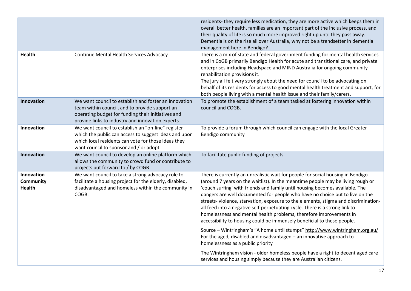|                                          |                                                                                                                                                                                                                   | residents- they require less medication, they are more active which keeps them in<br>overall better health, families are an important part of the inclusive process, and<br>their quality of life is so much more improved right up until they pass away.<br>Dementia is on the rise all over Australia, why not be a trendsetter in dementia<br>management here in Bendigo?                                                                                                                                                                                                                                                                             |
|------------------------------------------|-------------------------------------------------------------------------------------------------------------------------------------------------------------------------------------------------------------------|----------------------------------------------------------------------------------------------------------------------------------------------------------------------------------------------------------------------------------------------------------------------------------------------------------------------------------------------------------------------------------------------------------------------------------------------------------------------------------------------------------------------------------------------------------------------------------------------------------------------------------------------------------|
| <b>Health</b>                            | Continue Mental Health Services Advocacy                                                                                                                                                                          | There is a mix of state and federal government funding for mental health services<br>and in CoGB primarily Bendigo Health for acute and transitional care, and private<br>enterprises including Headspace and MIND Australia for ongoing community<br>rehabilitation provisions it.<br>The jury all felt very strongly about the need for council to be advocating on<br>behalf of its residents for access to good mental health treatment and support, for<br>both people living with a mental health issue and their family/carers.                                                                                                                   |
| Innovation                               | We want council to establish and foster an innovation<br>team within council, and to provide support an<br>operating budget for funding their initiatives and<br>provide links to industry and innovation experts | To promote the establishment of a team tasked at fostering innovation within<br>council and COGB.                                                                                                                                                                                                                                                                                                                                                                                                                                                                                                                                                        |
| Innovation                               | We want council to establish an "on-line" register<br>which the public can access to suggest ideas and upon<br>which local residents can vote for those ideas they<br>want council to sponsor and / or adopt      | To provide a forum through which council can engage with the local Greater<br>Bendigo community                                                                                                                                                                                                                                                                                                                                                                                                                                                                                                                                                          |
| Innovation                               | We want council to develop an online platform which<br>allows the community to crowd fund or contribute to<br>projects put forward to / by COGB                                                                   | To facilitate public funding of projects.                                                                                                                                                                                                                                                                                                                                                                                                                                                                                                                                                                                                                |
| Innovation<br>Community<br><b>Health</b> | We want council to take a strong advocacy role to<br>facilitate a housing project for the elderly, disabled,<br>disadvantaged and homeless within the community in<br>COGB.                                       | There is currently an unrealistic wait for people for social housing in Bendigo<br>(around 7 years on the waitlist). In the meantime people may be living rough or<br>'couch surfing' with friends and family until housing becomes available. The<br>dangers are well documented for people who have no choice but to live on the<br>streets-violence, starvation, exposure to the elements, stigma and discrimination-<br>all feed into a negative self-perpetuating cycle. There is a strong link to<br>homelessness and mental health problems, therefore improvements in<br>accessibility to housing could be immensely beneficial to these people. |
|                                          |                                                                                                                                                                                                                   | Source - Wintringham's "A home until stumps" http://www.wintringham.org.au/<br>For the aged, disabled and disadvantaged - an innovative approach to<br>homelessness as a public priority                                                                                                                                                                                                                                                                                                                                                                                                                                                                 |
|                                          |                                                                                                                                                                                                                   | The Wintringham vision - older homeless people have a right to decent aged care<br>services and housing simply because they are Australian citizens.                                                                                                                                                                                                                                                                                                                                                                                                                                                                                                     |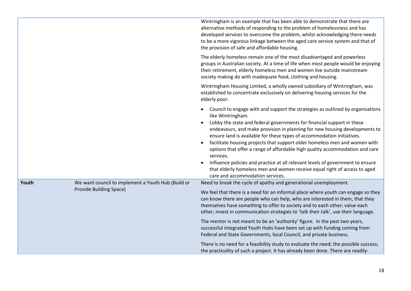|       |                                                                               | Wintringham is an example that has been able to demonstrate that there are<br>alternative methods of responding to the problem of homelessness and has<br>developed services to overcome the problem, whilst acknowledging there needs<br>to be a more vigorous linkage between the aged care service system and that of<br>the provision of safe and affordable housing.                                                                                                                                                                                                                                                                                                                                                                                  |
|-------|-------------------------------------------------------------------------------|------------------------------------------------------------------------------------------------------------------------------------------------------------------------------------------------------------------------------------------------------------------------------------------------------------------------------------------------------------------------------------------------------------------------------------------------------------------------------------------------------------------------------------------------------------------------------------------------------------------------------------------------------------------------------------------------------------------------------------------------------------|
|       |                                                                               | The elderly homeless remain one of the most disadvantaged and powerless<br>groups in Australian society. At a time of life when most people would be enjoying<br>their retirement, elderly homeless men and women live outside mainstream<br>society making do with inadequate food, clothing and housing.                                                                                                                                                                                                                                                                                                                                                                                                                                                 |
|       |                                                                               | Wintringham Housing Limited, a wholly owned subsidiary of Wintringham, was<br>established to concentrate exclusively on delivering housing services for the<br>elderly poor.                                                                                                                                                                                                                                                                                                                                                                                                                                                                                                                                                                               |
|       |                                                                               | Council to engage with and support the strategies as outlined by organisations<br>$\bullet$<br>like Wintringham.<br>Lobby the state and federal governments for financial support in these<br>$\bullet$<br>endeavours, and make provision in planning for new housing developments to<br>ensure land is available for these types of accommodation initiatives.<br>facilitate housing projects that support older homeless men and women with<br>$\bullet$<br>options that offer a range of affordable high quality accommodation and care<br>services.<br>influence policies and practice at all relevant levels of government to ensure<br>that elderly homeless men and women receive equal right of access to aged<br>care and accommodation services. |
| Youth | We want council to implement a Youth Hub (Build or<br>Provide Building Space) | Need to break the cycle of apathy and generational unemployment.                                                                                                                                                                                                                                                                                                                                                                                                                                                                                                                                                                                                                                                                                           |
|       |                                                                               | We feel that there is a need for an informal place where youth can engage so they<br>can know there are people who can help, who are interested in them, that they<br>themselves have something to offer to society and to each other; value each<br>other; invest in communication strategies to 'talk their talk', use their language.                                                                                                                                                                                                                                                                                                                                                                                                                   |
|       |                                                                               | The mentor is not meant to be an 'authority' figure. In the past two years,<br>successful integrated Youth Hubs have been set up with funding coming from<br>Federal and State Governments, local Council, and private business.                                                                                                                                                                                                                                                                                                                                                                                                                                                                                                                           |
|       |                                                                               | There is no need for a feasibility study to evaluate the need; the possible success;<br>the practicality of such a project. It has already been done. There are readily-                                                                                                                                                                                                                                                                                                                                                                                                                                                                                                                                                                                   |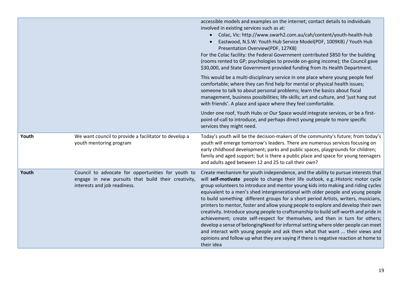|       |                                                                                                                                           | accessible models and examples on the internet; contact details to individuals<br>involved in existing services such as at:<br>• Colac, Vic: http://www.swarh2.com.au/cah/content/youth-health-hub<br>Eastwood, N.S.W: Youth Hub Service Model(PDF, 1009KB) / Youth Hub<br>Presentation Overview(PDF, 127KB)<br>For the Colac facility: the Federal Government contributed \$850 for the building<br>(rooms rented to GP; psychologies to provide on-going income); the Council gave<br>\$30,000, and State Government provided funding from its Health Department.                                                                                                                                                                                                                                                                                                                                                                                                             |
|-------|-------------------------------------------------------------------------------------------------------------------------------------------|---------------------------------------------------------------------------------------------------------------------------------------------------------------------------------------------------------------------------------------------------------------------------------------------------------------------------------------------------------------------------------------------------------------------------------------------------------------------------------------------------------------------------------------------------------------------------------------------------------------------------------------------------------------------------------------------------------------------------------------------------------------------------------------------------------------------------------------------------------------------------------------------------------------------------------------------------------------------------------|
|       |                                                                                                                                           | This would be a multi-disciplinary service in one place where young people feel<br>comfortable; where they can find help for mental or physical health issues;<br>someone to talk to about personal problems; learn the basics about fiscal<br>management, business possibilities; life-skills; art and culture, and 'just hang out<br>with friends'. A place and space where they feel comfortable.                                                                                                                                                                                                                                                                                                                                                                                                                                                                                                                                                                            |
|       |                                                                                                                                           | Under one roof, Youth Hubs or Our Space would integrate services, or be a first-<br>point-of-call to introduce, and perhaps direct young people to more specific<br>services they might need.                                                                                                                                                                                                                                                                                                                                                                                                                                                                                                                                                                                                                                                                                                                                                                                   |
| Youth | We want council to provide a facilitator to develop a<br>youth mentoring program                                                          | Today's youth will be the decision-makers of the community's future; from today's<br>youth will emerge tomorrow's leaders. There are numerous services focusing on<br>early childhood development; parks and public spaces, playgrounds for children;<br>family and aged support; but is there a public place and space for young teenagers<br>and adults aged between 12 and 25 to call their own?                                                                                                                                                                                                                                                                                                                                                                                                                                                                                                                                                                             |
| Youth | Council to advocate for opportunities for youth to<br>engage in new pursuits that build their creativity,<br>interests and job readiness. | Create mechanism for youth independence, and the ability to pursue interests that<br>will self-motivate people to change their life outlook, e.g.: Historic motor cycle<br>group volunteers to introduce and mentor young kids into making and riding cycles<br>equivalent to a men's shed intergenerational with older people and young people<br>to build something different groups for a short period Artists, writers, musicians,<br>printers to mentor, foster and allow young people to explore and develop their own<br>creativity. Introduce young people to craftsmanship to build self-worth and pride in<br>achievement; create self-respect for themselves, and then in turn for others;<br>develop a sense of belongingNeed for informal setting where older people can meet<br>and interact with young people and ask them what that want  their views and<br>opinions and follow up what they are saying if there is negative reaction at home to<br>their idea |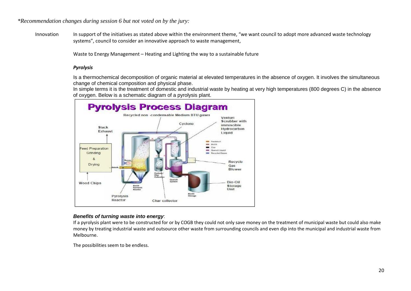*\*Recommendation changes during session 6 but not voted on by the jury:*

Innovation In support of the initiatives as stated above within the environment theme, "we want council to adopt more advanced waste technology systems", council to consider an innovative approach to waste management,

Waste to Energy Management – Heating and Lighting the way to a sustainable future

#### *Pyrolysis*

Is a thermochemical decomposition of organic material at elevated temperatures in the absence of oxygen. It involves the simultaneous change of chemical composition and physical phase.

In simple terms it is the treatment of domestic and industrial waste by heating at very high temperatures (800 degrees C) in the absence of oxygen. Below is a schematic diagram of a pyrolysis plant.



#### *Benefits of turning waste into energy*:

If a pyrolysis plant were to be constructed for or by COGB they could not only save money on the treatment of municipal waste but could also make money by treating industrial waste and outsource other waste from surrounding councils and even dip into the municipal and industrial waste from Melbourne.

The possibilities seem to be endless.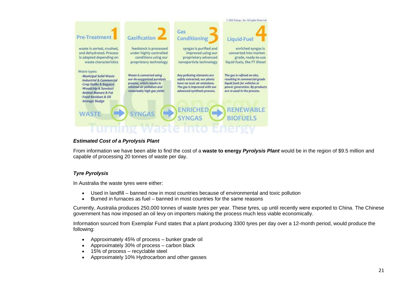

## *Estimated Cost of a Pyrolysis Plant*

From information we have been able to find the cost of a **waste to energy** *Pyrolysis Plant* would be in the region of \$9.5 million and capable of processing 20 tonnes of waste per day.

## *Tyre Pyrolysis*

In Australia the waste tyres were either:

- Used in landfill banned now in most countries because of environmental and toxic pollution
- Burned in furnaces as fuel banned in most countries for the same reasons

Currently, Australia produces 250,000 tonnes of waste tyres per year. These tyres, up until recently were exported to China. The Chinese government has now imposed an oil levy on importers making the process much less viable economically.

Information sourced from Exemplar Fund states that a plant producing 3300 tyres per day over a 12-month period, would produce the following:

- Approximately 45% of process bunker grade oil
- Approximately 30% of process carbon black
- 15% of process recyclable steel
- Approximately 10% Hydrocarbon and other gasses